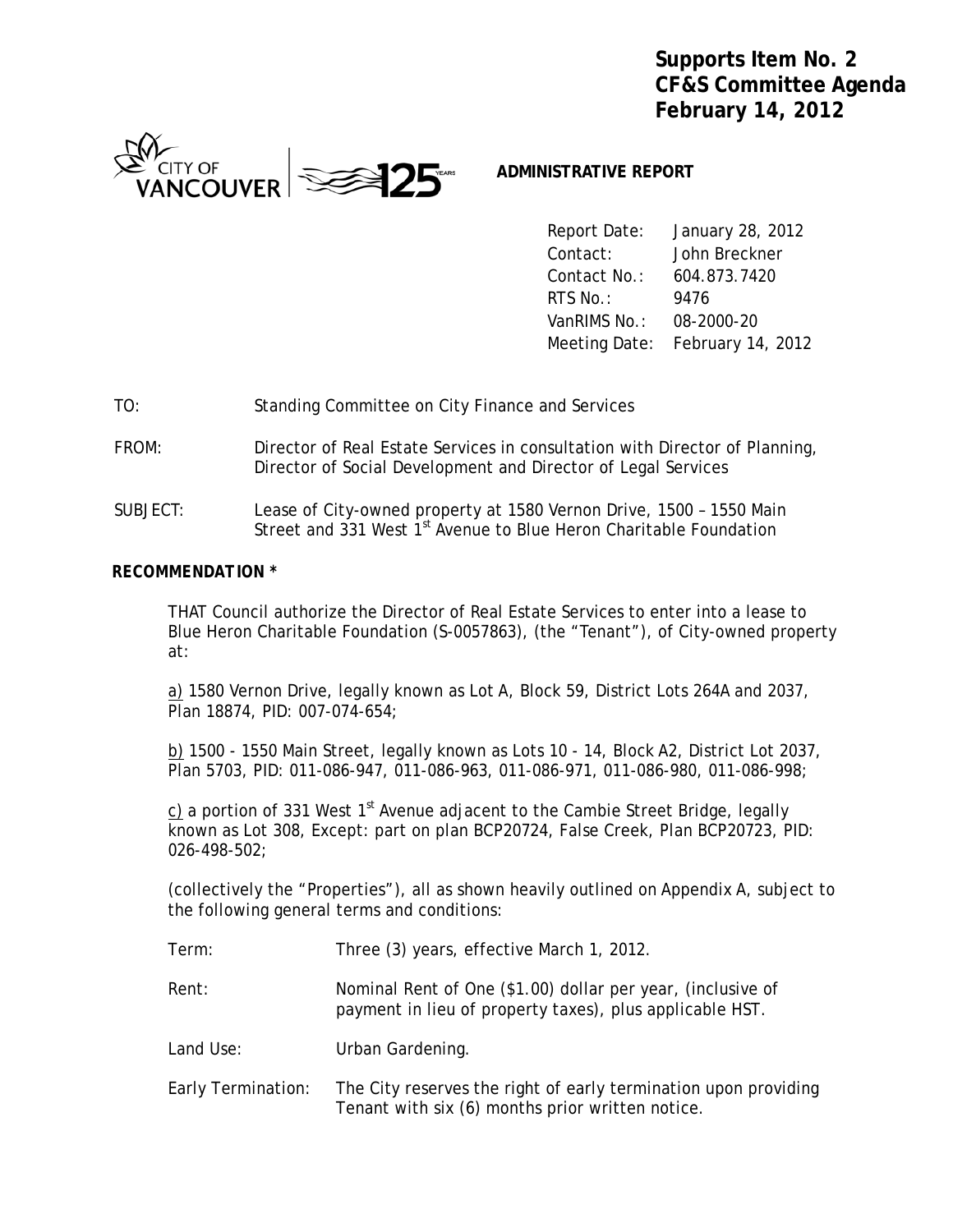**Supports Item No. 2 CF&S Committee Agenda February 14, 2012**



# **ADMINISTRATIVE REPORT**

 Report Date: January 28, 2012 Contact: John Breckner Contact No.: 604.873.7420 **RTS No.:** 9476 VanRIMS No.: 08-2000-20 Meeting Date: February 14, 2012

- TO: Standing Committee on City Finance and Services
- FROM: Director of Real Estate Services in consultation with Director of Planning, Director of Social Development and Director of Legal Services
- SUBJECT: Lease of City-owned property at 1580 Vernon Drive, 1500 1550 Main Street and 331 West 1<sup>st</sup> Avenue to Blue Heron Charitable Foundation

### *RECOMMENDATION \**

THAT Council authorize the Director of Real Estate Services to enter into a lease to Blue Heron Charitable Foundation (S-0057863), (the "Tenant"), of City-owned property at:

a) 1580 Vernon Drive, legally known as Lot A, Block 59, District Lots 264A and 2037, Plan 18874, PID: 007-074-654;

b) 1500 - 1550 Main Street, legally known as Lots 10 - 14, Block A2, District Lot 2037, Plan 5703, PID: 011-086-947, 011-086-963, 011-086-971, 011-086-980, 011-086-998;

c) a portion of 331 West  $1<sup>st</sup>$  Avenue adjacent to the Cambie Street Bridge, legally known as Lot 308, Except: part on plan BCP20724, False Creek, Plan BCP20723, PID: 026-498-502;

(collectively the "Properties"), all as shown heavily outlined on Appendix A, subject to the following general terms and conditions:

- Term: Three (3) years, effective March 1, 2012.
- Rent: Nominal Rent of One (\$1.00) dollar per year, (inclusive of payment in lieu of property taxes), plus applicable HST.
- Land Use: Urban Gardening.
- Early Termination: The City reserves the right of early termination upon providing Tenant with six (6) months prior written notice.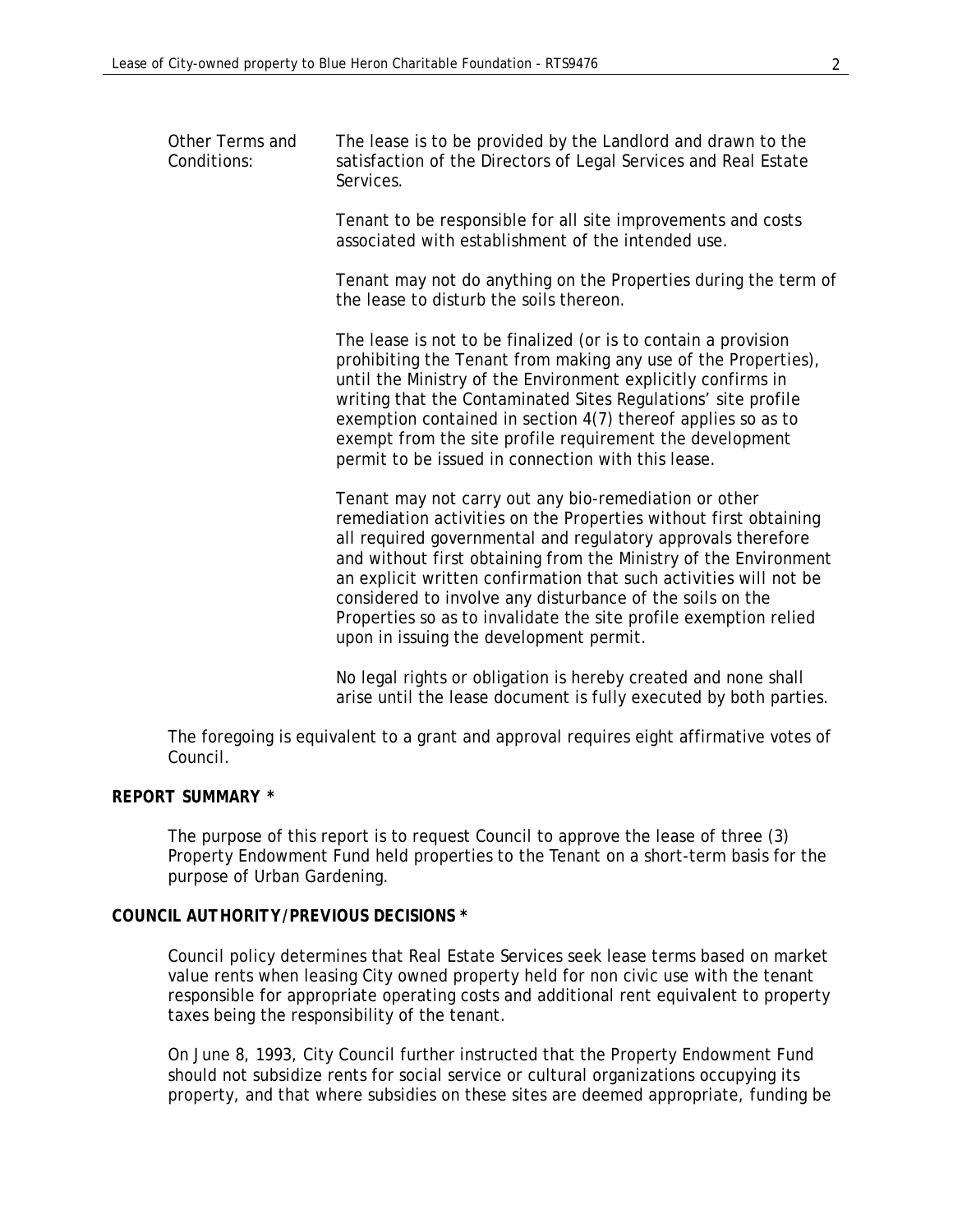| Other Terms and<br>Conditions: | The lease is to be provided by the Landlord and drawn to the<br>satisfaction of the Directors of Legal Services and Real Estate<br>Services.                                                                                                                                                                                                                                                                                                                                                                   |
|--------------------------------|----------------------------------------------------------------------------------------------------------------------------------------------------------------------------------------------------------------------------------------------------------------------------------------------------------------------------------------------------------------------------------------------------------------------------------------------------------------------------------------------------------------|
|                                | Tenant to be responsible for all site improvements and costs<br>associated with establishment of the intended use.                                                                                                                                                                                                                                                                                                                                                                                             |
|                                | Tenant may not do anything on the Properties during the term of<br>the lease to disturb the soils thereon.                                                                                                                                                                                                                                                                                                                                                                                                     |
|                                | The lease is not to be finalized (or is to contain a provision<br>prohibiting the Tenant from making any use of the Properties),<br>until the Ministry of the Environment explicitly confirms in<br>writing that the Contaminated Sites Regulations' site profile<br>exemption contained in section 4(7) thereof applies so as to<br>exempt from the site profile requirement the development<br>permit to be issued in connection with this lease.                                                            |
|                                | Tenant may not carry out any bio-remediation or other<br>remediation activities on the Properties without first obtaining<br>all required governmental and regulatory approvals therefore<br>and without first obtaining from the Ministry of the Environment<br>an explicit written confirmation that such activities will not be<br>considered to involve any disturbance of the soils on the<br>Properties so as to invalidate the site profile exemption relied<br>upon in issuing the development permit. |
|                                | No legal rights or obligation is hereby created and none shall<br>arise until the lease document is fully executed by both parties.                                                                                                                                                                                                                                                                                                                                                                            |

The foregoing is equivalent to a grant and approval requires eight affirmative votes of Council.

### *REPORT SUMMARY \**

The purpose of this report is to request Council to approve the lease of three (3) Property Endowment Fund held properties to the Tenant on a short-term basis for the purpose of Urban Gardening.

# *COUNCIL AUTHORITY/PREVIOUS DECISIONS \**

Council policy determines that Real Estate Services seek lease terms based on market value rents when leasing City owned property held for non civic use with the tenant responsible for appropriate operating costs and additional rent equivalent to property taxes being the responsibility of the tenant.

On June 8, 1993, City Council further instructed that the Property Endowment Fund should not subsidize rents for social service or cultural organizations occupying its property, and that where subsidies on these sites are deemed appropriate, funding be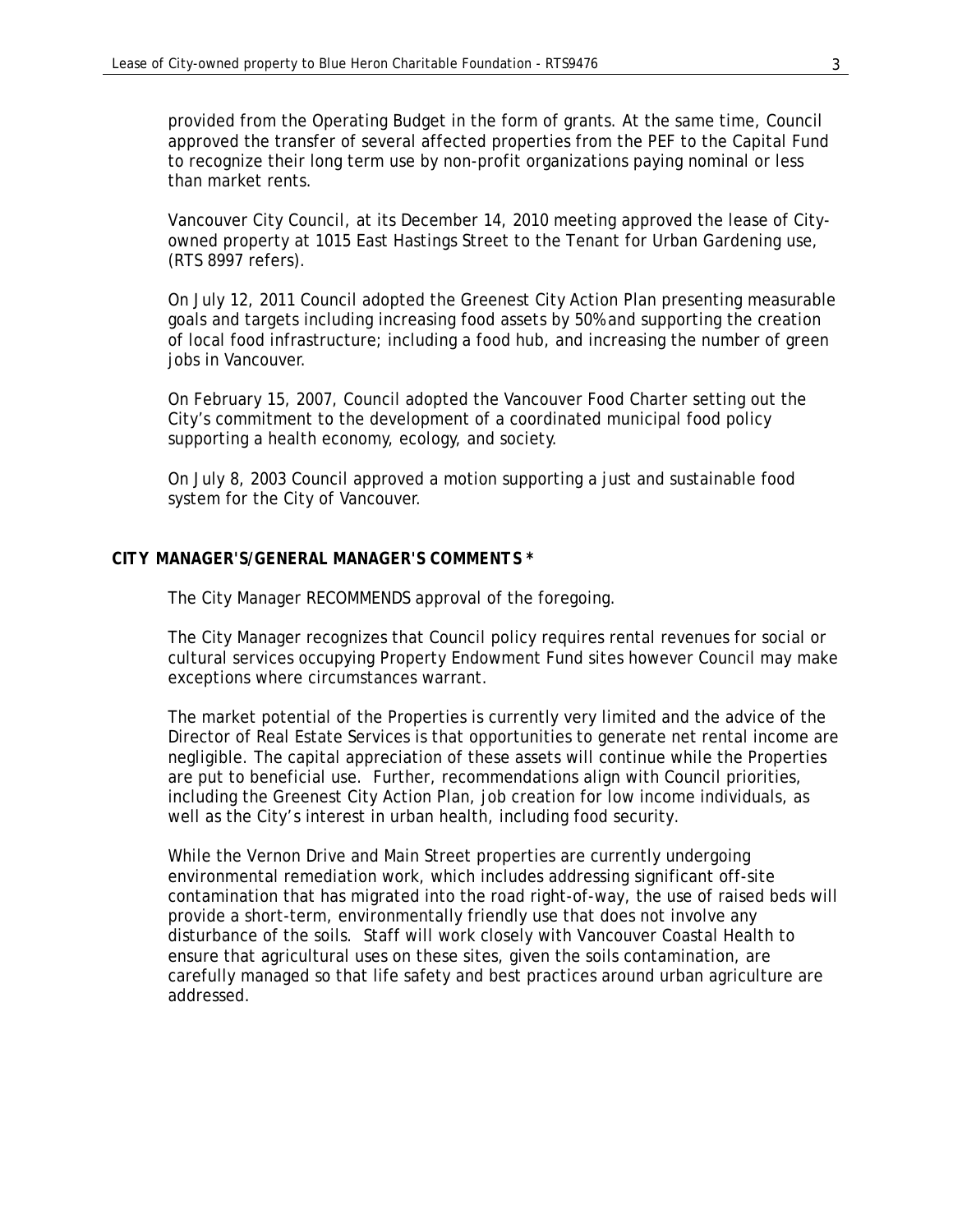provided from the Operating Budget in the form of grants. At the same time, Council approved the transfer of several affected properties from the PEF to the Capital Fund to recognize their long term use by non-profit organizations paying nominal or less than market rents.

 Vancouver City Council, at its December 14, 2010 meeting approved the lease of Cityowned property at 1015 East Hastings Street to the Tenant for Urban Gardening use, (RTS 8997 refers).

On July 12, 2011 Council adopted the Greenest City Action Plan presenting measurable goals and targets including increasing food assets by 50% and supporting the creation of local food infrastructure; including a food hub, and increasing the number of green jobs in Vancouver.

On February 15, 2007, Council adopted the Vancouver Food Charter setting out the City's commitment to the development of a coordinated municipal food policy supporting a health economy, ecology, and society.

On July 8, 2003 Council approved a motion supporting a just and sustainable food system for the City of Vancouver.

#### *CITY MANAGER'S/GENERAL MANAGER'S COMMENTS \**

The City Manager RECOMMENDS approval of the foregoing.

The City Manager recognizes that Council policy requires rental revenues for social or cultural services occupying Property Endowment Fund sites however Council may make exceptions where circumstances warrant.

The market potential of the Properties is currently very limited and the advice of the Director of Real Estate Services is that opportunities to generate net rental income are negligible. The capital appreciation of these assets will continue while the Properties are put to beneficial use. Further, recommendations align with Council priorities, including the Greenest City Action Plan, job creation for low income individuals, as well as the City's interest in urban health, including food security.

While the Vernon Drive and Main Street properties are currently undergoing environmental remediation work, which includes addressing significant off-site contamination that has migrated into the road right-of-way, the use of raised beds will provide a short-term, environmentally friendly use that does not involve any disturbance of the soils. Staff will work closely with Vancouver Coastal Health to ensure that agricultural uses on these sites, given the soils contamination, are carefully managed so that life safety and best practices around urban agriculture are addressed.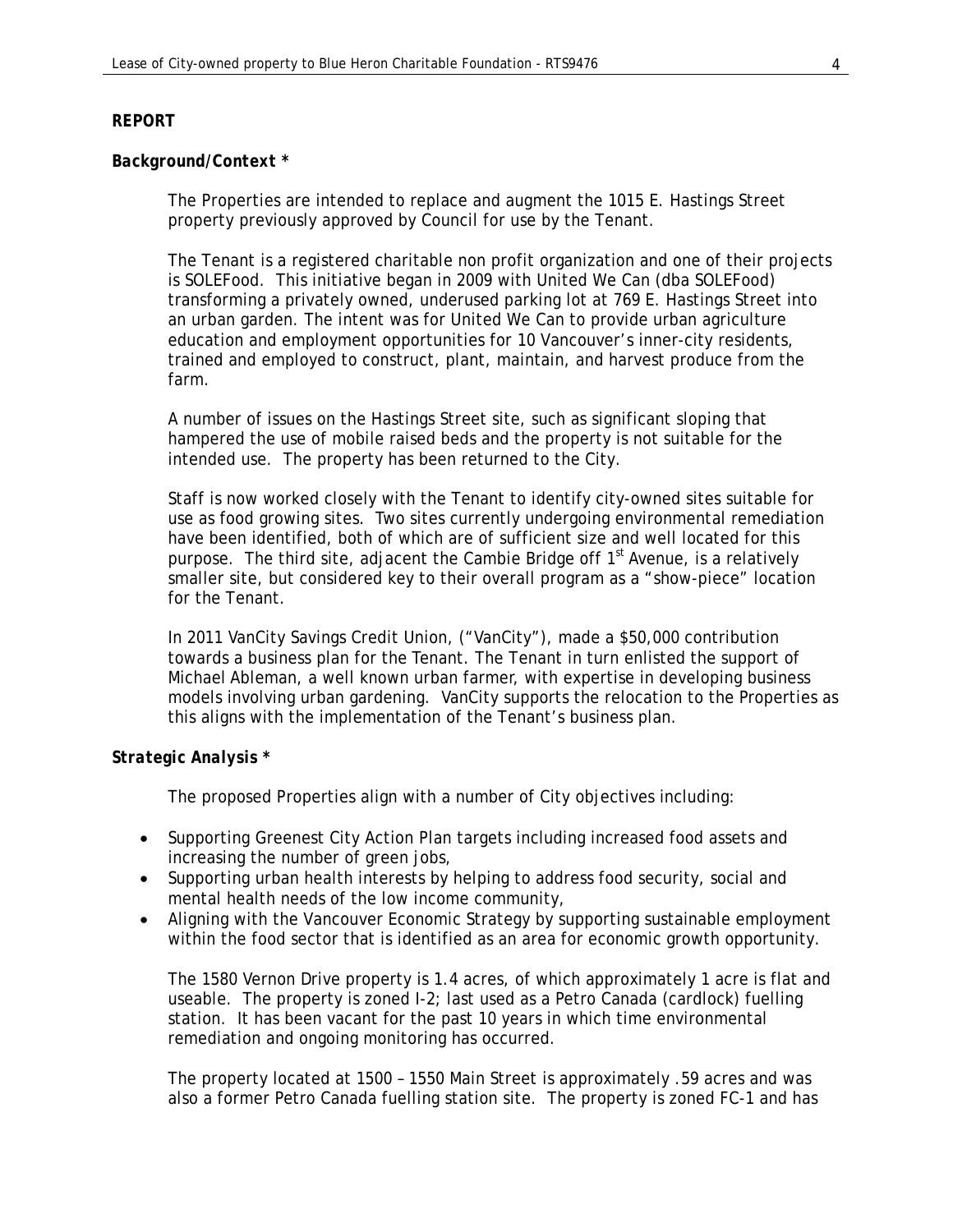### *REPORT*

#### *Background/Context \**

 The Properties are intended to replace and augment the 1015 E. Hastings Street property previously approved by Council for use by the Tenant.

The Tenant is a registered charitable non profit organization and one of their projects is SOLEFood. This initiative began in 2009 with United We Can (dba SOLEFood) transforming a privately owned, underused parking lot at 769 E. Hastings Street into an urban garden. The intent was for United We Can to provide urban agriculture education and employment opportunities for 10 Vancouver's inner-city residents, trained and employed to construct, plant, maintain, and harvest produce from the farm.

 A number of issues on the Hastings Street site, such as significant sloping that hampered the use of mobile raised beds and the property is not suitable for the intended use. The property has been returned to the City.

Staff is now worked closely with the Tenant to identify city-owned sites suitable for use as food growing sites. Two sites currently undergoing environmental remediation have been identified, both of which are of sufficient size and well located for this purpose. The third site, adjacent the Cambie Bridge off  $1<sup>st</sup>$  Avenue, is a relatively smaller site, but considered key to their overall program as a "show-piece" location for the Tenant.

In 2011 VanCity Savings Credit Union, ("VanCity"), made a \$50,000 contribution towards a business plan for the Tenant. The Tenant in turn enlisted the support of Michael Ableman, a well known urban farmer, with expertise in developing business models involving urban gardening. VanCity supports the relocation to the Properties as this aligns with the implementation of the Tenant's business plan.

### *Strategic Analysis \**

The proposed Properties align with a number of City objectives including:

- Supporting Greenest City Action Plan targets including increased food assets and increasing the number of green jobs,
- Supporting urban health interests by helping to address food security, social and mental health needs of the low income community,
- Aligning with the Vancouver Economic Strategy by supporting sustainable employment within the food sector that is identified as an area for economic growth opportunity.

The 1580 Vernon Drive property is 1.4 acres, of which approximately 1 acre is flat and useable. The property is zoned I-2; last used as a Petro Canada (cardlock) fuelling station. It has been vacant for the past 10 years in which time environmental remediation and ongoing monitoring has occurred.

The property located at 1500 – 1550 Main Street is approximately .59 acres and was also a former Petro Canada fuelling station site. The property is zoned FC-1 and has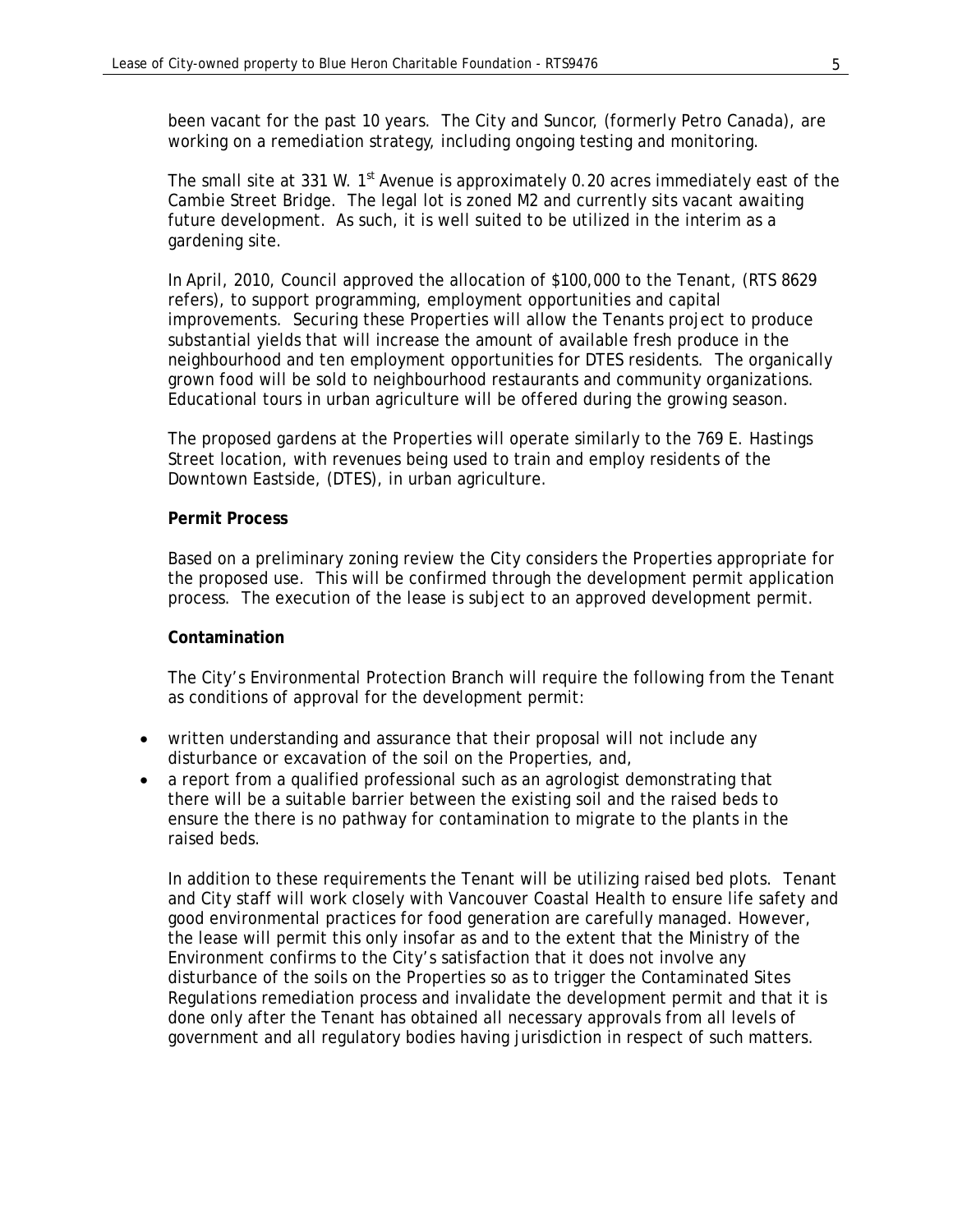been vacant for the past 10 years. The City and Suncor, (formerly Petro Canada), are working on a remediation strategy, including ongoing testing and monitoring.

The small site at 331 W. 1<sup>st</sup> Avenue is approximately 0.20 acres immediately east of the Cambie Street Bridge. The legal lot is zoned M2 and currently sits vacant awaiting future development. As such, it is well suited to be utilized in the interim as a gardening site.

In April, 2010, Council approved the allocation of \$100,000 to the Tenant, (RTS 8629 refers), to support programming, employment opportunities and capital improvements. Securing these Properties will allow the Tenants project to produce substantial yields that will increase the amount of available fresh produce in the neighbourhood and ten employment opportunities for DTES residents. The organically grown food will be sold to neighbourhood restaurants and community organizations. Educational tours in urban agriculture will be offered during the growing season.

The proposed gardens at the Properties will operate similarly to the 769 E. Hastings Street location, with revenues being used to train and employ residents of the Downtown Eastside, (DTES), in urban agriculture.

### **Permit Process**

Based on a preliminary zoning review the City considers the Properties appropriate for the proposed use. This will be confirmed through the development permit application process. The execution of the lease is subject to an approved development permit.

### **Contamination**

The City's Environmental Protection Branch will require the following from the Tenant as conditions of approval for the development permit:

- written understanding and assurance that their proposal will not include any disturbance or excavation of the soil on the Properties, and,
- a report from a qualified professional such as an agrologist demonstrating that there will be a suitable barrier between the existing soil and the raised beds to ensure the there is no pathway for contamination to migrate to the plants in the raised beds.

In addition to these requirements the Tenant will be utilizing raised bed plots. Tenant and City staff will work closely with Vancouver Coastal Health to ensure life safety and good environmental practices for food generation are carefully managed. However, the lease will permit this only insofar as and to the extent that the Ministry of the Environment confirms to the City's satisfaction that it does not involve any disturbance of the soils on the Properties so as to trigger the Contaminated Sites Regulations remediation process and invalidate the development permit and that it is done only after the Tenant has obtained all necessary approvals from all levels of government and all regulatory bodies having jurisdiction in respect of such matters.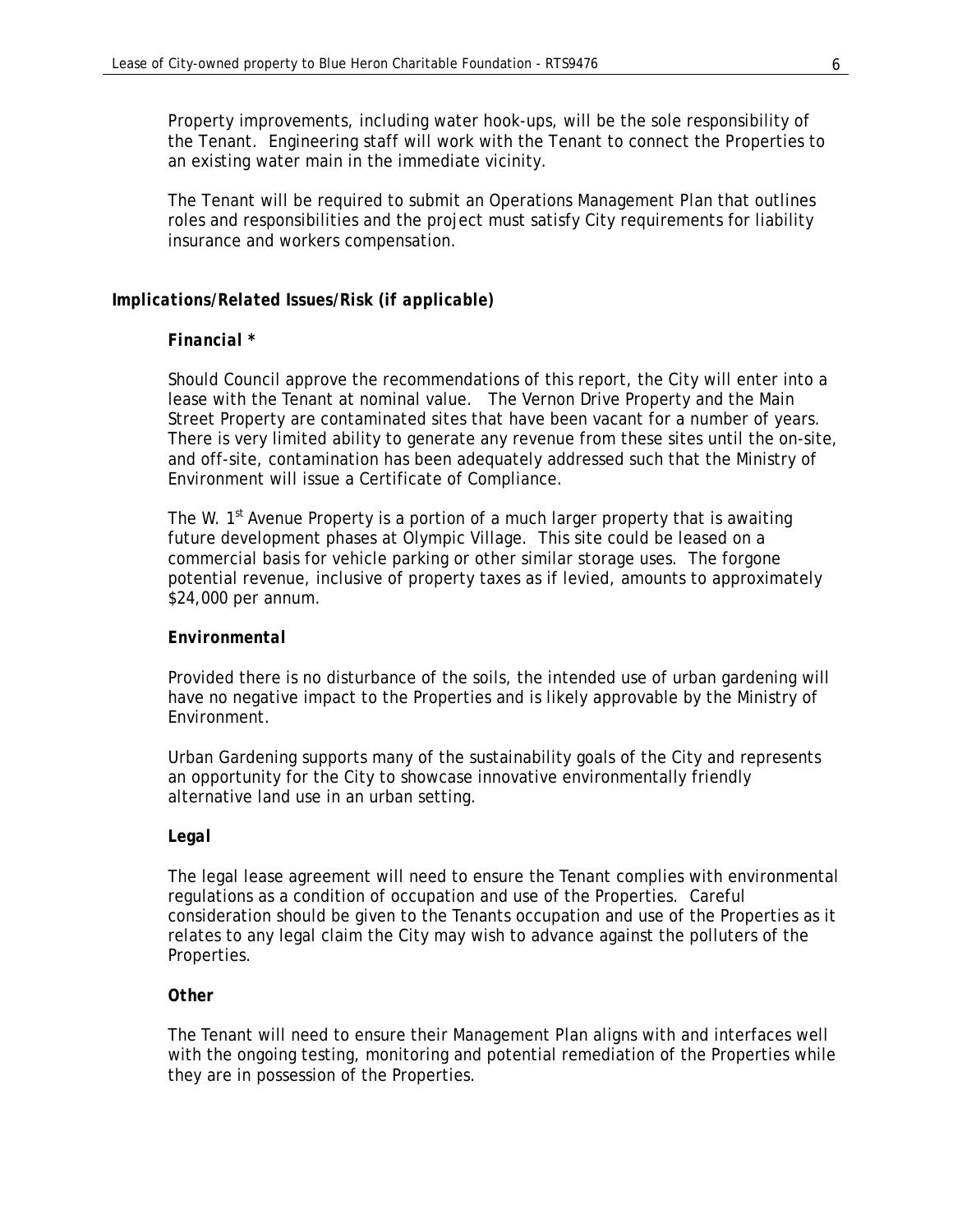Property improvements, including water hook-ups, will be the sole responsibility of the Tenant. Engineering staff will work with the Tenant to connect the Properties to an existing water main in the immediate vicinity.

The Tenant will be required to submit an Operations Management Plan that outlines roles and responsibilities and the project must satisfy City requirements for liability insurance and workers compensation.

# *Implications/Related Issues/Risk (if applicable)*

### *Financial \**

Should Council approve the recommendations of this report, the City will enter into a lease with the Tenant at nominal value. The Vernon Drive Property and the Main Street Property are contaminated sites that have been vacant for a number of years. There is very limited ability to generate any revenue from these sites until the on-site, and off-site, contamination has been adequately addressed such that the Ministry of Environment will issue a Certificate of Compliance.

The W.  $1<sup>st</sup>$  Avenue Property is a portion of a much larger property that is awaiting future development phases at Olympic Village. This site could be leased on a commercial basis for vehicle parking or other similar storage uses. The forgone potential revenue, inclusive of property taxes as if levied, amounts to approximately \$24,000 per annum.

### *Environmental*

Provided there is no disturbance of the soils, the intended use of urban gardening will have no negative impact to the Properties and is likely approvable by the Ministry of Environment.

Urban Gardening supports many of the sustainability goals of the City and represents an opportunity for the City to showcase innovative environmentally friendly alternative land use in an urban setting.

### *Legal*

The legal lease agreement will need to ensure the Tenant complies with environmental regulations as a condition of occupation and use of the Properties. Careful consideration should be given to the Tenants occupation and use of the Properties as it relates to any legal claim the City may wish to advance against the polluters of the Properties.

### *Other*

The Tenant will need to ensure their Management Plan aligns with and interfaces well with the ongoing testing, monitoring and potential remediation of the Properties while they are in possession of the Properties.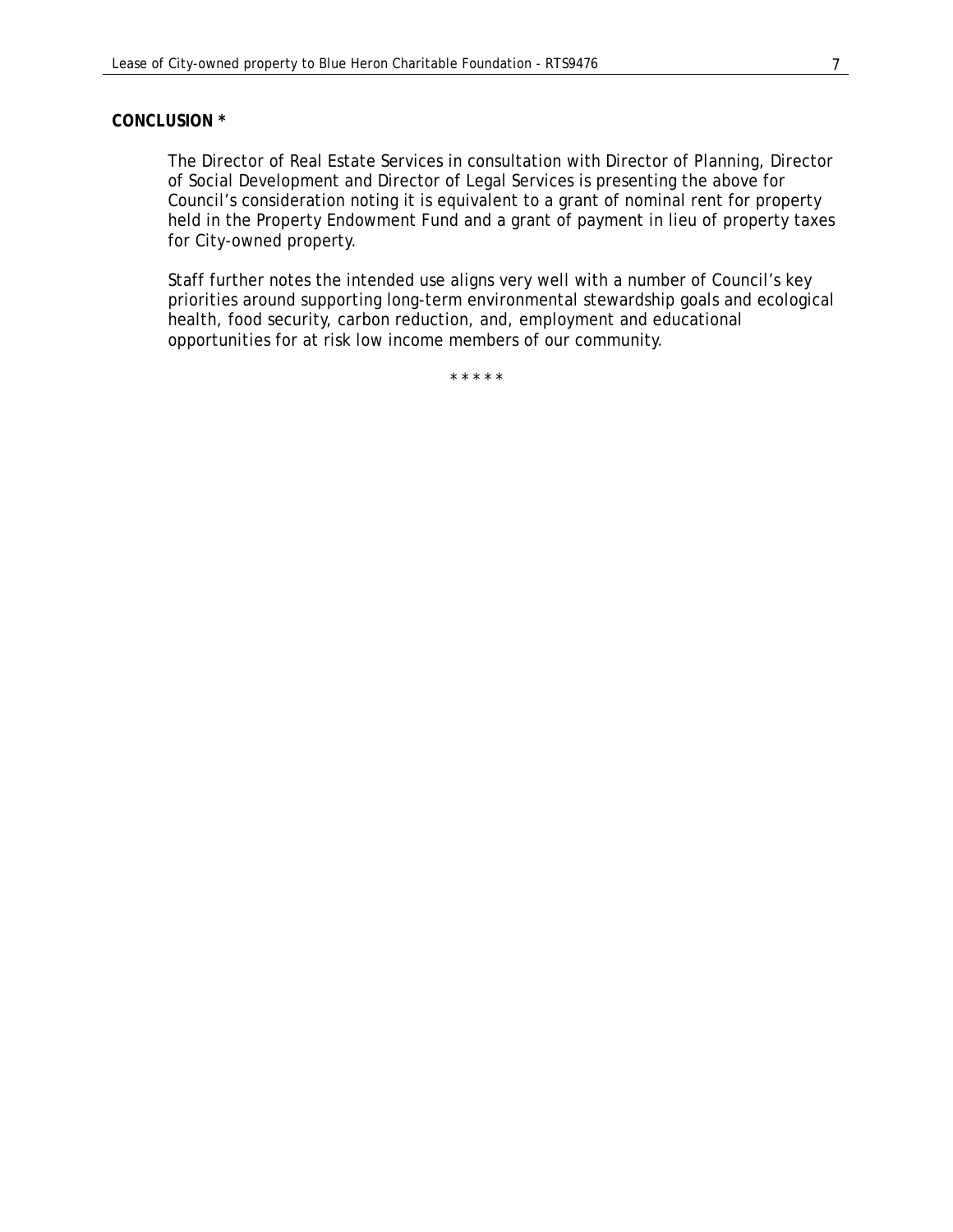### *CONCLUSION \**

 The Director of Real Estate Services in consultation with Director of Planning, Director of Social Development and Director of Legal Services is presenting the above for Council's consideration noting it is equivalent to a grant of nominal rent for property held in the Property Endowment Fund and a grant of payment in lieu of property taxes for City-owned property.

 Staff further notes the intended use aligns very well with a number of Council's key priorities around supporting long-term environmental stewardship goals and ecological health, food security, carbon reduction, and, employment and educational opportunities for at risk low income members of our community.

\* \* \* \* \*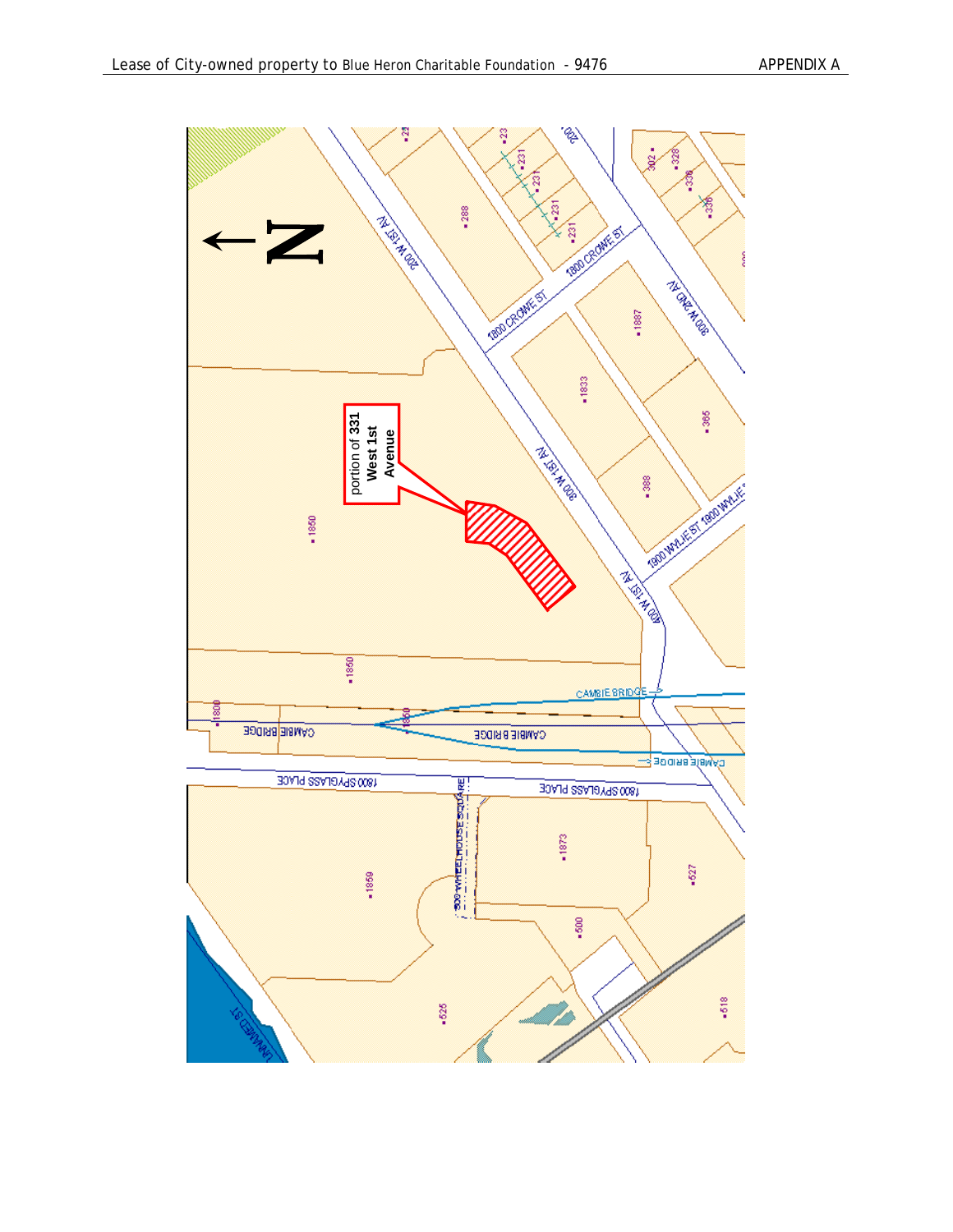

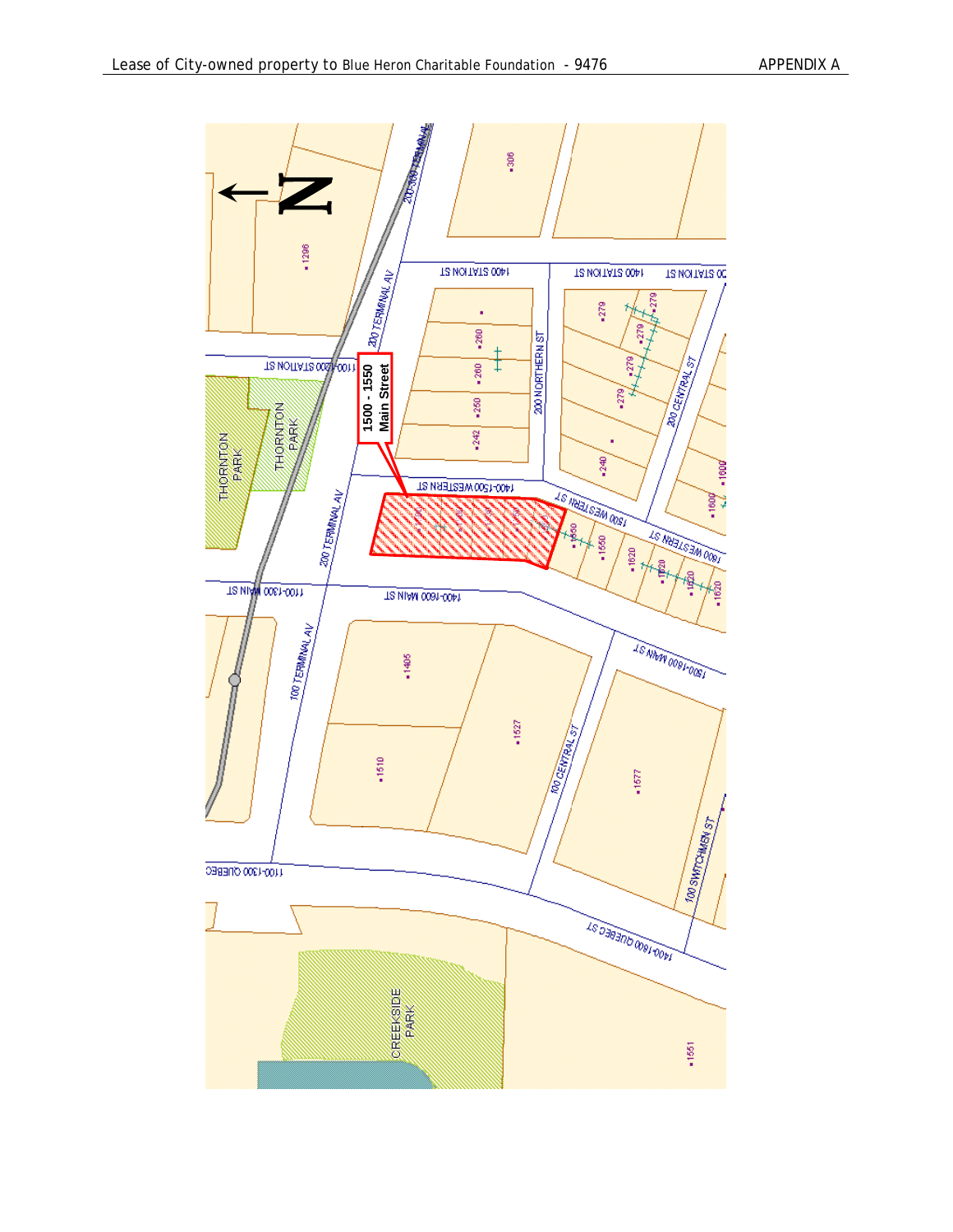